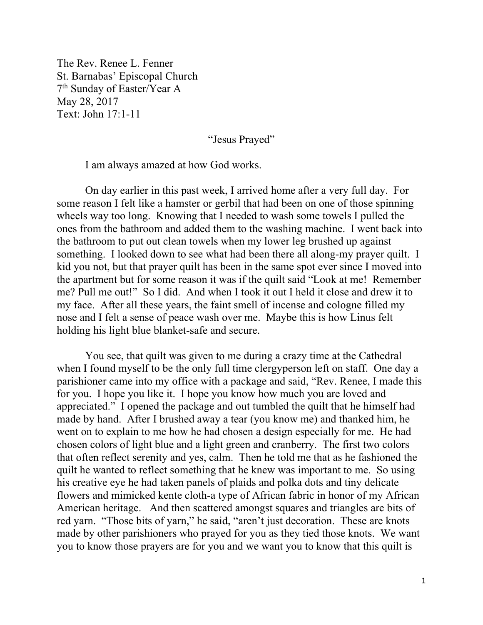The Rev. Renee L. Fenner St. Barnabas' Episcopal Church 7th Sunday of Easter/Year A May 28, 2017 Text: John 17:1-11

"Jesus Prayed"

I am always amazed at how God works.

On day earlier in this past week, I arrived home after a very full day. For some reason I felt like a hamster or gerbil that had been on one of those spinning wheels way too long. Knowing that I needed to wash some towels I pulled the ones from the bathroom and added them to the washing machine. I went back into the bathroom to put out clean towels when my lower leg brushed up against something. I looked down to see what had been there all along-my prayer quilt. I kid you not, but that prayer quilt has been in the same spot ever since I moved into the apartment but for some reason it was if the quilt said "Look at me! Remember me? Pull me out!" So I did. And when I took it out I held it close and drew it to my face. After all these years, the faint smell of incense and cologne filled my nose and I felt a sense of peace wash over me. Maybe this is how Linus felt holding his light blue blanket-safe and secure.

 You see, that quilt was given to me during a crazy time at the Cathedral when I found myself to be the only full time clergyperson left on staff. One day a parishioner came into my office with a package and said, "Rev. Renee, I made this for you. I hope you like it. I hope you know how much you are loved and appreciated." I opened the package and out tumbled the quilt that he himself had made by hand. After I brushed away a tear (you know me) and thanked him, he went on to explain to me how he had chosen a design especially for me. He had chosen colors of light blue and a light green and cranberry. The first two colors that often reflect serenity and yes, calm. Then he told me that as he fashioned the quilt he wanted to reflect something that he knew was important to me. So using his creative eye he had taken panels of plaids and polka dots and tiny delicate flowers and mimicked kente cloth-a type of African fabric in honor of my African American heritage. And then scattered amongst squares and triangles are bits of red yarn. "Those bits of yarn," he said, "aren't just decoration. These are knots made by other parishioners who prayed for you as they tied those knots. We want you to know those prayers are for you and we want you to know that this quilt is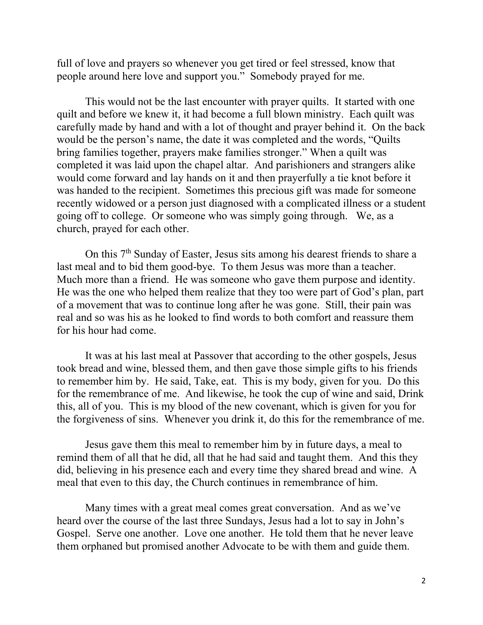full of love and prayers so whenever you get tired or feel stressed, know that people around here love and support you." Somebody prayed for me.

 This would not be the last encounter with prayer quilts. It started with one quilt and before we knew it, it had become a full blown ministry. Each quilt was carefully made by hand and with a lot of thought and prayer behind it. On the back would be the person's name, the date it was completed and the words, "Quilts bring families together, prayers make families stronger." When a quilt was completed it was laid upon the chapel altar. And parishioners and strangers alike would come forward and lay hands on it and then prayerfully a tie knot before it was handed to the recipient. Sometimes this precious gift was made for someone recently widowed or a person just diagnosed with a complicated illness or a student going off to college. Or someone who was simply going through. We, as a church, prayed for each other.

On this 7th Sunday of Easter, Jesus sits among his dearest friends to share a last meal and to bid them good-bye. To them Jesus was more than a teacher. Much more than a friend. He was someone who gave them purpose and identity. He was the one who helped them realize that they too were part of God's plan, part of a movement that was to continue long after he was gone. Still, their pain was real and so was his as he looked to find words to both comfort and reassure them for his hour had come.

 It was at his last meal at Passover that according to the other gospels, Jesus took bread and wine, blessed them, and then gave those simple gifts to his friends to remember him by. He said, Take, eat. This is my body, given for you. Do this for the remembrance of me. And likewise, he took the cup of wine and said, Drink this, all of you. This is my blood of the new covenant, which is given for you for the forgiveness of sins. Whenever you drink it, do this for the remembrance of me.

 Jesus gave them this meal to remember him by in future days, a meal to remind them of all that he did, all that he had said and taught them. And this they did, believing in his presence each and every time they shared bread and wine. A meal that even to this day, the Church continues in remembrance of him.

Many times with a great meal comes great conversation. And as we've heard over the course of the last three Sundays, Jesus had a lot to say in John's Gospel. Serve one another. Love one another. He told them that he never leave them orphaned but promised another Advocate to be with them and guide them.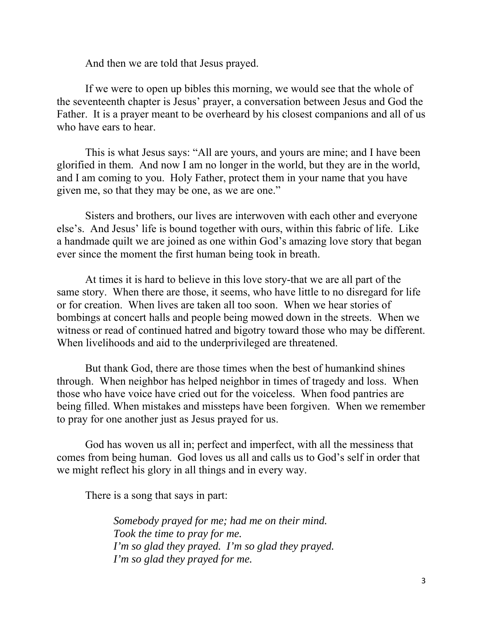And then we are told that Jesus prayed.

If we were to open up bibles this morning, we would see that the whole of the seventeenth chapter is Jesus' prayer, a conversation between Jesus and God the Father. It is a prayer meant to be overheard by his closest companions and all of us who have ears to hear.

This is what Jesus says: "All are yours, and yours are mine; and I have been glorified in them. And now I am no longer in the world, but they are in the world, and I am coming to you. Holy Father, protect them in your name that you have given me, so that they may be one, as we are one."

Sisters and brothers, our lives are interwoven with each other and everyone else's. And Jesus' life is bound together with ours, within this fabric of life. Like a handmade quilt we are joined as one within God's amazing love story that began ever since the moment the first human being took in breath.

At times it is hard to believe in this love story-that we are all part of the same story. When there are those, it seems, who have little to no disregard for life or for creation. When lives are taken all too soon. When we hear stories of bombings at concert halls and people being mowed down in the streets. When we witness or read of continued hatred and bigotry toward those who may be different. When livelihoods and aid to the underprivileged are threatened.

But thank God, there are those times when the best of humankind shines through. When neighbor has helped neighbor in times of tragedy and loss. When those who have voice have cried out for the voiceless. When food pantries are being filled. When mistakes and missteps have been forgiven. When we remember to pray for one another just as Jesus prayed for us.

God has woven us all in; perfect and imperfect, with all the messiness that comes from being human. God loves us all and calls us to God's self in order that we might reflect his glory in all things and in every way.

There is a song that says in part:

*Somebody prayed for me; had me on their mind. Took the time to pray for me. I'm so glad they prayed. I'm so glad they prayed. I'm so glad they prayed for me.*